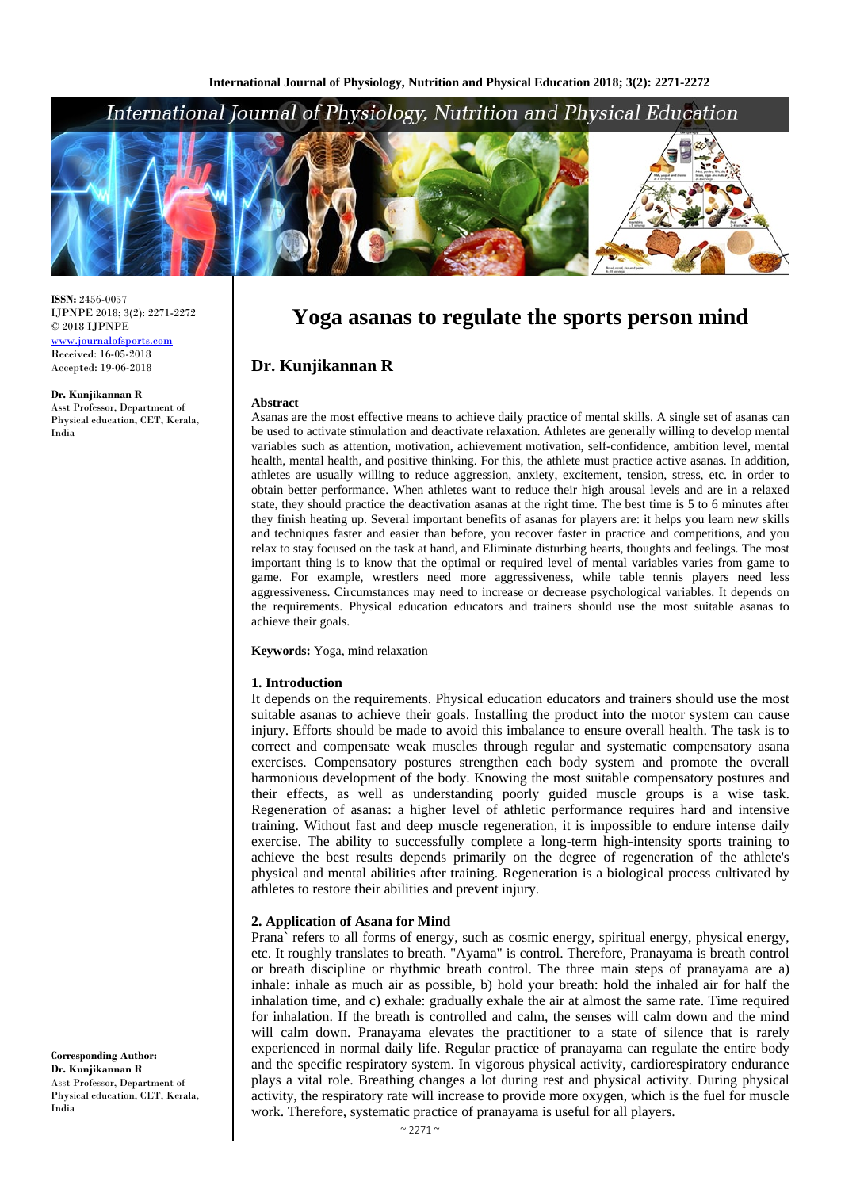## International Journal of Physiology, Nutrition and Physical Education



**ISSN:** 2456-0057 IJPNPE 2018; 3(2): 2271-2272  $\odot$  2018 IJPNPE www.journalofsports.com Received: 16-05-2018 Accepted: 19-06-2018

**Dr. Kunjikannan R** Asst Professor, Department of Physical education, CET, Kerala, India

# **Yoga asanas to regulate the sports person mind**

## **Dr. Kunjikannan R**

#### **Abstract**

Asanas are the most effective means to achieve daily practice of mental skills. A single set of asanas can be used to activate stimulation and deactivate relaxation. Athletes are generally willing to develop mental variables such as attention, motivation, achievement motivation, self-confidence, ambition level, mental health, mental health, and positive thinking. For this, the athlete must practice active asanas. In addition, athletes are usually willing to reduce aggression, anxiety, excitement, tension, stress, etc. in order to obtain better performance. When athletes want to reduce their high arousal levels and are in a relaxed state, they should practice the deactivation asanas at the right time. The best time is 5 to 6 minutes after they finish heating up. Several important benefits of asanas for players are: it helps you learn new skills and techniques faster and easier than before, you recover faster in practice and competitions, and you relax to stay focused on the task at hand, and Eliminate disturbing hearts, thoughts and feelings. The most important thing is to know that the optimal or required level of mental variables varies from game to game. For example, wrestlers need more aggressiveness, while table tennis players need less aggressiveness. Circumstances may need to increase or decrease psychological variables. It depends on the requirements. Physical education educators and trainers should use the most suitable asanas to achieve their goals.

**Keywords:** Yoga, mind relaxation

#### **1. Introduction**

It depends on the requirements. Physical education educators and trainers should use the most suitable asanas to achieve their goals. Installing the product into the motor system can cause injury. Efforts should be made to avoid this imbalance to ensure overall health. The task is to correct and compensate weak muscles through regular and systematic compensatory asana exercises. Compensatory postures strengthen each body system and promote the overall harmonious development of the body. Knowing the most suitable compensatory postures and their effects, as well as understanding poorly guided muscle groups is a wise task. Regeneration of asanas: a higher level of athletic performance requires hard and intensive training. Without fast and deep muscle regeneration, it is impossible to endure intense daily exercise. The ability to successfully complete a long-term high-intensity sports training to achieve the best results depends primarily on the degree of regeneration of the athlete's physical and mental abilities after training. Regeneration is a biological process cultivated by athletes to restore their abilities and prevent injury.

#### **2. Application of Asana for Mind**

Prana` refers to all forms of energy, such as cosmic energy, spiritual energy, physical energy, etc. It roughly translates to breath. "Ayama" is control. Therefore, Pranayama is breath control or breath discipline or rhythmic breath control. The three main steps of pranayama are a) inhale: inhale as much air as possible, b) hold your breath: hold the inhaled air for half the inhalation time, and c) exhale: gradually exhale the air at almost the same rate. Time required for inhalation. If the breath is controlled and calm, the senses will calm down and the mind will calm down. Pranayama elevates the practitioner to a state of silence that is rarely experienced in normal daily life. Regular practice of pranayama can regulate the entire body and the specific respiratory system. In vigorous physical activity, cardiorespiratory endurance plays a vital role. Breathing changes a lot during rest and physical activity. During physical activity, the respiratory rate will increase to provide more oxygen, which is the fuel for muscle work. Therefore, systematic practice of pranayama is useful for all players.

**Corresponding Author: Dr. Kunjikannan R** Asst Professor, Department of Physical education, CET, Kerala, India